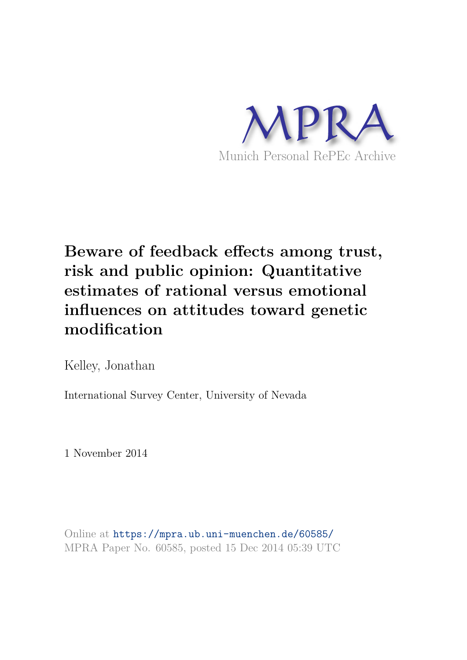

# **Beware of feedback effects among trust, risk and public opinion: Quantitative estimates of rational versus emotional influences on attitudes toward genetic modification**

Kelley, Jonathan

International Survey Center, University of Nevada

1 November 2014

Online at https://mpra.ub.uni-muenchen.de/60585/ MPRA Paper No. 60585, posted 15 Dec 2014 05:39 UTC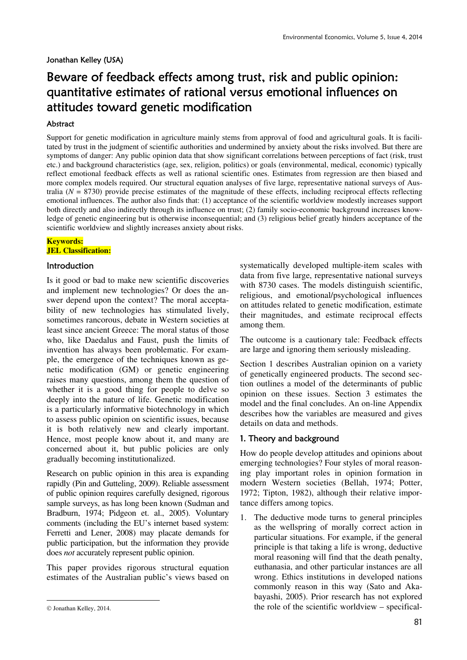#### Jonathan Kelley (USA)

# Beware of feedback effects among trust, risk and public opinion: quantitative estimates of rational versus emotional influences on attitudes toward genetic modification

## Abstract

Support for genetic modification in agriculture mainly stems from approval of food and agricultural goals. It is facilitated by trust in the judgment of scientific authorities and undermined by anxiety about the risks involved. But there are symptoms of danger: Any public opinion data that show significant correlations between perceptions of fact (risk, trust etc.) and background characteristics (age, sex, religion, politics) or goals (environmental, medical, economic) typically reflect emotional feedback effects as well as rational scientific ones. Estimates from regression are then biased and more complex models required. Our structural equation analyses of five large, representative national surveys of Australia  $(N = 8730)$  provide precise estimates of the magnitude of these effects, including reciprocal effects reflecting emotional influences. The author also finds that: (1) acceptance of the scientific worldview modestly increases support both directly and also indirectly through its influence on trust; (2) family socio-economic background increases knowledge of genetic engineering but is otherwise inconsequential; and (3) religious belief greatly hinders acceptance of the scientific worldview and slightly increases anxiety about risks.

#### **Keywords: JEL Classification:**

#### **Introduction**

Is it good or bad to make new scientific discoveries and implement new technologies? Or does the answer depend upon the context? The moral acceptability of new technologies has stimulated lively, sometimes rancorous, debate in Western societies at least since ancient Greece: The moral status of those who, like Daedalus and Faust, push the limits of invention has always been problematic. For example, the emergence of the techniques known as genetic modification (GM) or genetic engineering raises many questions, among them the question of whether it is a good thing for people to delve so deeply into the nature of life. Genetic modification is a particularly informative biotechnology in which to assess public opinion on scientific issues, because it is both relatively new and clearly important. Hence, most people know about it, and many are concerned about it, but public policies are only gradually becoming institutionalized.

Research on public opinion in this area is expanding rapidly (Pin and Gutteling, 2009). Reliable assessment of public opinion requires carefully designed, rigorous sample surveys, as has long been known (Sudman and Bradburn, 1974; Pidgeon et. al., 2005). Voluntary comments (including the EU's internet based system: Ferretti and Lener, 2008) may placate demands for public participation, but the information they provide does *not* accurately represent public opinion.

This paper provides rigorous structural equation estimates of the Australian public's views based on

<u>.</u>

systematically developed multiple-item scales with data from five large, representative national surveys with 8730 cases. The models distinguish scientific, religious, and emotional/psychological influences on attitudes related to genetic modification, estimate their magnitudes, and estimate reciprocal effects among them.

The outcome is a cautionary tale: Feedback effects are large and ignoring them seriously misleading.

Section 1 describes Australian opinion on a variety of genetically engineered products. The second section outlines a model of the determinants of public opinion on these issues. Section 3 estimates the model and the final concludes. An on-line Appendix describes how the variables are measured and gives details on data and methods.

### 1. Theory and background

How do people develop attitudes and opinions about emerging technologies? Four styles of moral reasoning play important roles in opinion formation in modern Western societies (Bellah, 1974; Potter, 1972; Tipton, 1982), although their relative importance differs among topics.

1. The deductive mode turns to general principles as the wellspring of morally correct action in particular situations. For example, if the general principle is that taking a life is wrong, deductive moral reasoning will find that the death penalty, euthanasia, and other particular instances are all wrong. Ethics institutions in developed nations commonly reason in this way (Sato and Akabayashi, 2005). Prior research has not explored the role of the scientific worldview – specifical-

<sup>©</sup> Jonathan Kelley, 2014.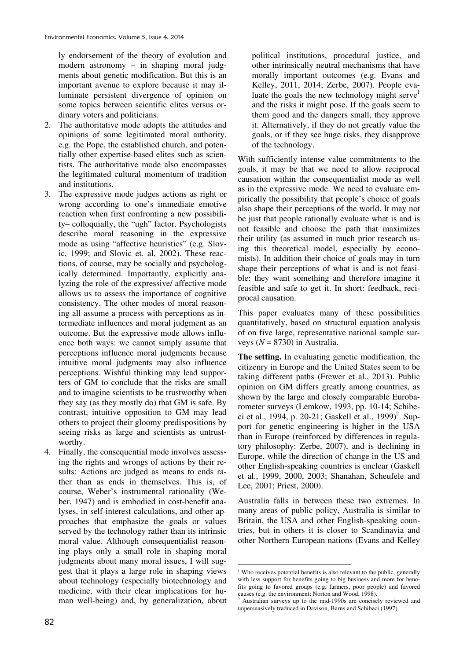ly endorsement of the theory of evolution and modern astronomy – in shaping moral judgments about genetic modification. But this is an important avenue to explore because it may illuminate persistent divergence of opinion on some topics between scientific elites versus ordinary voters and politicians.

- 2. The authoritative mode adopts the attitudes and opinions of some legitimated moral authority, e.g. the Pope, the established church, and potentially other expertise-based elites such as scientists. The authoritative mode also encompasses the legitimated cultural momentum of tradition and institutions.
- 3. The expressive mode judges actions as right or wrong according to one's immediate emotive reaction when first confronting a new possibility– colloquially, the "ugh" factor. Psychologists describe moral reasoning in the expressive mode as using "affective heuristics" (e.g. Slovic, 1999; and Slovic et. al, 2002). These reactions, of course, may be socially and psychologically determined. Importantly, explicitly analyzing the role of the expressive/ affective mode allows us to assess the importance of cognitive consistency. The other modes of moral reasoning all assume a process with perceptions as intermediate influences and moral judgment as an outcome. But the expressive mode allows influence both ways: we cannot simply assume that perceptions influence moral judgments because intuitive moral judgments may also influence perceptions. Wishful thinking may lead supporters of GM to conclude that the risks are small and to imagine scientists to be trustworthy when they say (as they mostly do) that GM is safe. By contrast, intuitive opposition to GM may lead others to project their gloomy predispositions by seeing risks as large and scientists as untrustworthy.
- 4. Finally, the consequential mode involves assessing the rights and wrongs of actions by their results: Actions are judged as means to ends rather than as ends in themselves. This is, of course, Weber's instrumental rationality (Weber, 1947) and is embodied in cost-benefit analyses, in self-interest calculations, and other approaches that emphasize the goals or values served by the technology rather than its intrinsic moral value. Although consequentialist reasoning plays only a small role in shaping moral judgments about many moral issues, I will suggest that it plays a large role in shaping views about technology (especially biotechnology and medicine, with their clear implications for human well-being) and, by generalization, about

political institutions, procedural justice, and other intrinsically neutral mechanisms that have morally important outcomes (e.g. Evans and Kelley, 2011, 2014; Zerbe, 2007). People evaluate the goals the new technology might serve<sup>1</sup> and the risks it might pose. If the goals seem to them good and the dangers small, they approve it. Alternatively, if they do not greatly value the goals, or if they see huge risks, they disapprove of the technology.

With sufficiently intense value commitments to the goals, it may be that we need to allow reciprocal causation within the consequentialist mode as well as in the expressive mode. We need to evaluate empirically the possibility that people's choice of goals also shape their perceptions of the world. It may not be just that people rationally evaluate what is and is not feasible and choose the path that maximizes their utility (as assumed in much prior research using this theoretical model, especially by economists). In addition their choice of goals may in turn shape their perceptions of what is and is not feasible: they want something and therefore imagine it feasible and safe to get it. In short: feedback, reciprocal causation.

This paper evaluates many of these possibilities quantitatively, based on structural equation analysis of on five large, representative national sample surveys  $(N = 8730)$  in Australia.

**The setting.** In evaluating genetic modification, the citizenry in Europe and the United States seem to be taking different paths (Frewer et al., 2013). Public opinion on GM differs greatly among countries, as shown by the large and closely comparable Eurobarometer surveys (Lemkow, 1993, pp. 10-14; Schibeci et al., 1994, p. 20-21; Gaskell et al., 1999)<sup>2</sup>. Support for genetic engineering is higher in the USA than in Europe (reinforced by differences in regulatory philosophy: Zerbe, 2007), and is declining in Europe, while the direction of change in the US and other English-speaking countries is unclear (Gaskell et al., 1999, 2000, 2003; Shanahan, Scheufele and Lee, 2001; Priest, 2000).

Australia falls in between these two extremes. In many areas of public policy, Australia is similar to Britain, the USA and other English-speaking countries, but in others it is closer to Scandinavia and other Northern European nations (Evans and Kelley

**<sup>.</sup>** <sup>1</sup> Who receives potential benefits is also relevant to the public, generally with less support for benefits going to big business and more for benefits going to favored groups (e.g. farmers, poor people) and favored causes (e.g. the environment; Norton and Wood, 1998).

<sup>&</sup>lt;sup>2</sup> Australian surveys up to the mid-1990s are concisely reviewed and unpersuasively traduced in Davison, Barns and Schibeci (1997).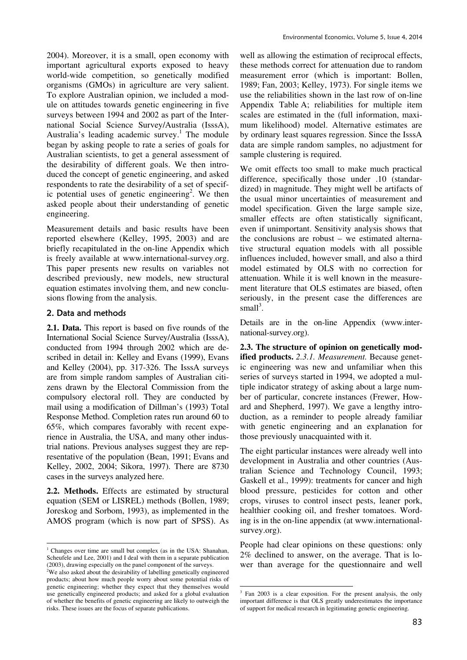2004). Moreover, it is a small, open economy with important agricultural exports exposed to heavy world-wide competition, so genetically modified organisms (GMOs) in agriculture are very salient. To explore Australian opinion, we included a module on attitudes towards genetic engineering in five surveys between 1994 and 2002 as part of the International Social Science Survey/Australia (IsssA), Australia's leading academic survey.<sup>1</sup> The module began by asking people to rate a series of goals for Australian scientists, to get a general assessment of the desirability of different goals. We then introduced the concept of genetic engineering, and asked respondents to rate the desirability of a set of specific potential uses of genetic engineering<sup>2</sup>. We then asked people about their understanding of genetic engineering.

Measurement details and basic results have been reported elsewhere (Kelley, 1995, 2003) and are briefly recapitulated in the on-line Appendix which is freely available at www.international-survey.org. This paper presents new results on variables not described previously, new models, new structural equation estimates involving them, and new conclusions flowing from the analysis.

# 2. Data and methods

<u>.</u>

**2.1. Data.** This report is based on five rounds of the International Social Science Survey/Australia (IsssA), conducted from 1994 through 2002 which are described in detail in: Kelley and Evans (1999), Evans and Kelley (2004), pp. 317-326. The IsssA surveys are from simple random samples of Australian citizens drawn by the Electoral Commission from the compulsory electoral roll. They are conducted by mail using a modification of Dillman's (1993) Total Response Method. Completion rates run around 60 to 65%, which compares favorably with recent experience in Australia, the USA, and many other industrial nations. Previous analyses suggest they are representative of the population (Bean, 1991; Evans and Kelley, 2002, 2004; Sikora, 1997). There are 8730 cases in the surveys analyzed here.

**2.2. Methods.** Effects are estimated by structural equation (SEM or LISREL) methods (Bollen, 1989; Joreskog and Sorbom, 1993), as implemented in the AMOS program (which is now part of SPSS). As

well as allowing the estimation of reciprocal effects, these methods correct for attenuation due to random measurement error (which is important: Bollen, 1989; Fan, 2003; Kelley, 1973). For single items we use the reliabilities shown in the last row of on-line Appendix Table A; reliabilities for multiple item scales are estimated in the (full information, maximum likelihood) model. Alternative estimates are by ordinary least squares regression. Since the IsssA data are simple random samples, no adjustment for sample clustering is required.

We omit effects too small to make much practical difference, specifically those under .10 (standardized) in magnitude. They might well be artifacts of the usual minor uncertainties of measurement and model specification. Given the large sample size, smaller effects are often statistically significant, even if unimportant. Sensitivity analysis shows that the conclusions are robust – we estimated alternative structural equation models with all possible influences included, however small, and also a third model estimated by OLS with no correction for attenuation. While it is well known in the measurement literature that OLS estimates are biased, often seriously, in the present case the differences are small $3$ .

Details are in the on-line Appendix (www.international-survey.org).

**2.3. The structure of opinion on genetically modified products.** *2.3.1. Measurement.* Because genetic engineering was new and unfamiliar when this series of surveys started in 1994, we adopted a multiple indicator strategy of asking about a large number of particular, concrete instances (Frewer, Howard and Shepherd, 1997). We gave a lengthy introduction, as a reminder to people already familiar with genetic engineering and an explanation for those previously unacquainted with it.

The eight particular instances were already well into development in Australia and other countries (Australian Science and Technology Council, 1993; Gaskell et al., 1999): treatments for cancer and high blood pressure, pesticides for cotton and other crops, viruses to control insect pests, leaner pork, healthier cooking oil, and fresher tomatoes. Wording is in the on-line appendix (at www.internationalsurvey.org).

People had clear opinions on these questions: only 2% declined to answer, on the average. That is lower than average for the questionnaire and well

<sup>&</sup>lt;sup>1</sup> Changes over time are small but complex (as in the USA: Shanahan, Scheufele and Lee, 2001) and I deal with them in a separate publication (2003), drawing especially on the panel component of the surveys.

 $2$ We also asked about the desirability of labelling genetically engineered products; about how much people worry about some potential risks of genetic engineering; whether they expect that they themselves would use genetically engineered products; and asked for a global evaluation of whether the benefits of genetic engineering are likely to outweigh the risks. These issues are the focus of separate publications.

<sup>-</sup>3 Fan 2003 is a clear exposition. For the present analysis, the only important difference is that OLS greatly underestimates the importance of support for medical research in legitimating genetic engineering.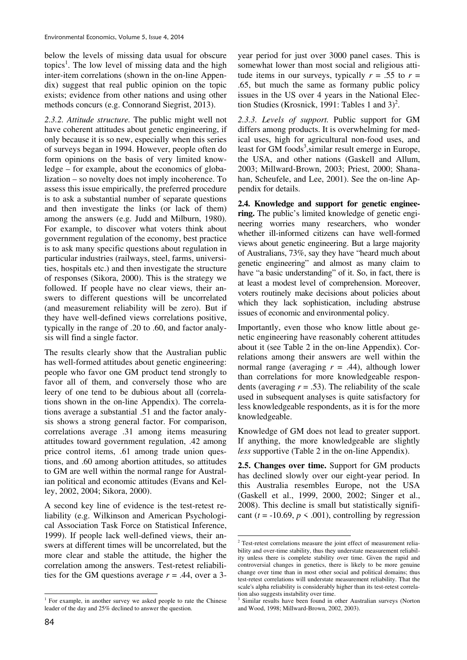below the levels of missing data usual for obscure topics<sup>1</sup>. The low level of missing data and the high inter-item correlations (shown in the on-line Appendix) suggest that real public opinion on the topic exists; evidence from other nations and using other methods concurs (e.g. Connorand Siegrist, 2013).

*2.3.2. Attitude structure.* The public might well not have coherent attitudes about genetic engineering, if only because it is so new, especially when this series of surveys began in 1994. However, people often do form opinions on the basis of very limited knowledge – for example, about the economics of globalization – so novelty does not imply incoherence. To assess this issue empirically, the preferred procedure is to ask a substantial number of separate questions and then investigate the links (or lack of them) among the answers (e.g. Judd and Milburn, 1980). For example, to discover what voters think about government regulation of the economy, best practice is to ask many specific questions about regulation in particular industries (railways, steel, farms, universities, hospitals etc.) and then investigate the structure of responses (Sikora, 2000). This is the strategy we followed. If people have no clear views, their answers to different questions will be uncorrelated (and measurement reliability will be zero). But if they have well-defined views correlations positive, typically in the range of .20 to .60, and factor analysis will find a single factor.

The results clearly show that the Australian public has well-formed attitudes about genetic engineering: people who favor one GM product tend strongly to favor all of them, and conversely those who are leery of one tend to be dubious about all (correlations shown in the on-line Appendix). The correlations average a substantial .51 and the factor analysis shows a strong general factor. For comparison, correlations average .31 among items measuring attitudes toward government regulation, .42 among price control items, .61 among trade union questions, and .60 among abortion attitudes, so attitudes to GM are well within the normal range for Australian political and economic attitudes (Evans and Kelley, 2002, 2004; Sikora, 2000).

A second key line of evidence is the test-retest reliability (e.g. Wilkinson and American Psychological Association Task Force on Statistical Inference, 1999). If people lack well-defined views, their answers at different times will be uncorrelated, but the more clear and stable the attitude, the higher the correlation among the answers. Test-retest reliabilities for the GM questions average  $r = .44$ , over a 3year period for just over 3000 panel cases. This is somewhat lower than most social and religious attitude items in our surveys, typically  $r = .55$  to  $r =$ .65, but much the same as formany public policy issues in the US over 4 years in the National Election Studies (Krosnick, 1991: Tables 1 and  $3)^2$ .

*2.3.3. Levels of support.* Public support for GM differs among products. It is overwhelming for medical uses, high for agricultural non-food uses, and least for GM foods<sup>3</sup>, similar result emerge in Europe, the USA, and other nations (Gaskell and Allum, 2003; Millward-Brown, 2003; Priest, 2000; Shanahan, Scheufele, and Lee, 2001). See the on-line Appendix for details.

**2.4. Knowledge and support for genetic engineering.** The public's limited knowledge of genetic engineering worries many researchers, who wonder whether ill-informed citizens can have well-formed views about genetic engineering. But a large majority of Australians, 73%, say they have "heard much about genetic engineering" and almost as many claim to have "a basic understanding" of it. So, in fact, there is at least a modest level of comprehension. Moreover, voters routinely make decisions about policies about which they lack sophistication, including abstruse issues of economic and environmental policy.

Importantly, even those who know little about genetic engineering have reasonably coherent attitudes about it (see Table 2 in the on-line Appendix). Correlations among their answers are well within the normal range (averaging  $r = .44$ ), although lower than correlations for more knowledgeable respondents (averaging  $r = .53$ ). The reliability of the scale used in subsequent analyses is quite satisfactory for less knowledgeable respondents, as it is for the more knowledgeable.

Knowledge of GM does not lead to greater support. If anything, the more knowledgeable are slightly *less* supportive (Table 2 in the on-line Appendix).

**2.5. Changes over time.** Support for GM products has declined slowly over our eight-year period. In this Australia resembles Europe, not the USA (Gaskell et al., 1999, 2000, 2002; Singer et al., 2008). This decline is small but statistically significant ( $t = -10.69$ ,  $p \le 0.001$ ), controlling by regression

 $\overline{a}$ <sup>1</sup> For example, in another survey we asked people to rate the Chinese leader of the day and 25% declined to answer the question.

**<sup>.</sup>** <sup>2</sup> Test-retest correlations measure the joint effect of measurement reliability and over-time stability, thus they understate measurement reliability unless there is complete stability over time. Given the rapid and controversial changes in genetics, there is likely to be more genuine change over time than in most other social and political domains; thus test-retest correlations will understate measurement reliability. That the scale's alpha reliability is considerably higher than its test-retest correlation also suggests instability over time.

<sup>&</sup>lt;sup>3</sup> Similar results have been found in other Australian surveys (Norton and Wood, 1998; Millward-Brown, 2002, 2003).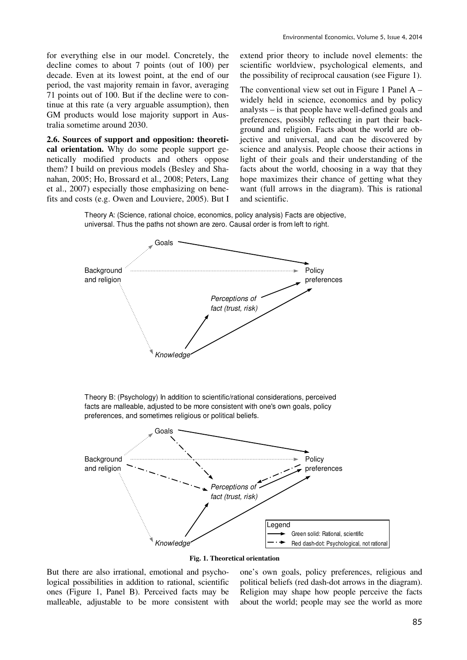for everything else in our model. Concretely, the decline comes to about 7 points (out of 100) per decade. Even at its lowest point, at the end of our period, the vast majority remain in favor, averaging 71 points out of 100. But if the decline were to continue at this rate (a very arguable assumption), then GM products would lose majority support in Australia sometime around 2030.

**2.6. Sources of support and opposition: theoretical orientation.** Why do some people support genetically modified products and others oppose them? I build on previous models (Besley and Shanahan, 2005; Ho, Brossard et al., 2008; Peters, Lang et al., 2007) especially those emphasizing on benefits and costs (e.g. Owen and Louviere, 2005). But I extend prior theory to include novel elements: the scientific worldview, psychological elements, and the possibility of reciprocal causation (see Figure 1).

The conventional view set out in Figure 1 Panel A – widely held in science, economics and by policy analysts – is that people have well-defined goals and preferences, possibly reflecting in part their background and religion. Facts about the world are objective and universal, and can be discovered by science and analysis. People choose their actions in light of their goals and their understanding of the facts about the world, choosing in a way that they hope maximizes their chance of getting what they want (full arrows in the diagram). This is rational and scientific.

Theory A: (Science, rational choice, economics, policy analysis) Facts are objective, universal. Thus the paths not shown are zero. Causal order is from left to right.





But there are also irrational, emotional and psychological possibilities in addition to rational, scientific ones (Figure 1, Panel B). Perceived facts may be malleable, adjustable to be more consistent with

one's own goals, policy preferences, religious and political beliefs (red dash-dot arrows in the diagram). Religion may shape how people perceive the facts about the world; people may see the world as more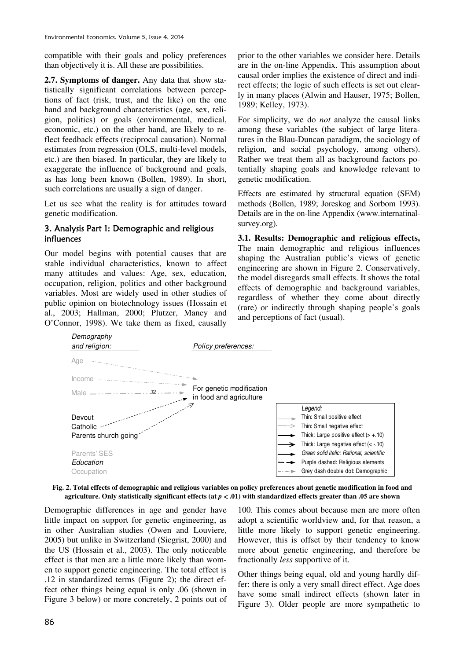compatible with their goals and policy preferences than objectively it is. All these are possibilities.

**2.7. Symptoms of danger.** Any data that show statistically significant correlations between perceptions of fact (risk, trust, and the like) on the one hand and background characteristics (age, sex, religion, politics) or goals (environmental, medical, economic, etc.) on the other hand, are likely to reflect feedback effects (reciprocal causation). Normal estimates from regression (OLS, multi-level models, etc.) are then biased. In particular, they are likely to exaggerate the influence of background and goals, as has long been known (Bollen, 1989). In short, such correlations are usually a sign of danger.

Let us see what the reality is for attitudes toward genetic modification.

# 3. Analysis Part 1: Demographic and religious influences

Our model begins with potential causes that are stable individual characteristics, known to affect many attitudes and values: Age, sex, education, occupation, religion, politics and other background variables. Most are widely used in other studies of public opinion on biotechnology issues (Hossain et al., 2003; Hallman, 2000; Plutzer, Maney and O'Connor, 1998). We take them as fixed, causally

prior to the other variables we consider here. Details are in the on-line Appendix. This assumption about causal order implies the existence of direct and indirect effects; the logic of such effects is set out clearly in many places (Alwin and Hauser, 1975; Bollen, 1989; Kelley, 1973).

For simplicity, we do *not* analyze the causal links among these variables (the subject of large literatures in the Blau-Duncan paradigm, the sociology of religion, and social psychology, among others). Rather we treat them all as background factors potentially shaping goals and knowledge relevant to genetic modification.

Effects are estimated by structural equation (SEM) methods (Bollen, 1989; Joreskog and Sorbom 1993). Details are in the on-line Appendix (www.internatinalsurvey.org).

**3.1. Results: Demographic and religious effects,**  The main demographic and religious influences shaping the Australian public's views of genetic engineering are shown in Figure 2. Conservatively, the model disregards small effects. It shows the total effects of demographic and background variables, regardless of whether they come about directly (rare) or indirectly through shaping people's goals and perceptions of fact (usual).



#### **Fig. 2. Total effects of demographic and religious variables on policy preferences about genetic modification in food and agriculture. Only statistically significant effects (at** *p* < **.01) with standardized effects greater than .05 are shown**

Demographic differences in age and gender have little impact on support for genetic engineering, as in other Australian studies (Owen and Louviere, 2005) but unlike in Switzerland (Siegrist, 2000) and the US (Hossain et al., 2003). The only noticeable effect is that men are a little more likely than women to support genetic engineering. The total effect is .12 in standardized terms (Figure 2); the direct effect other things being equal is only .06 (shown in Figure 3 below) or more concretely, 2 points out of

100. This comes about because men are more often adopt a scientific worldview and, for that reason, a little more likely to support genetic engineering. However, this is offset by their tendency to know more about genetic engineering, and therefore be fractionally *less* supportive of it.

Other things being equal, old and young hardly differ: there is only a very small direct effect. Age does have some small indirect effects (shown later in Figure 3). Older people are more sympathetic to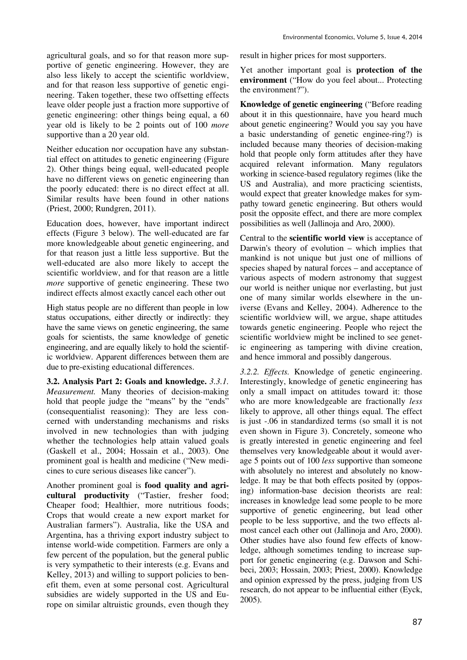agricultural goals, and so for that reason more supportive of genetic engineering. However, they are also less likely to accept the scientific worldview, and for that reason less supportive of genetic engineering. Taken together, these two offsetting effects leave older people just a fraction more supportive of genetic engineering: other things being equal, a 60 year old is likely to be 2 points out of 100 *more* supportive than a 20 year old.

Neither education nor occupation have any substantial effect on attitudes to genetic engineering (Figure 2). Other things being equal, well-educated people have no different views on genetic engineering than the poorly educated: there is no direct effect at all. Similar results have been found in other nations (Priest, 2000; Rundgren, 2011).

Education does, however, have important indirect effects (Figure 3 below). The well-educated are far more knowledgeable about genetic engineering, and for that reason just a little less supportive. But the well-educated are also more likely to accept the scientific worldview, and for that reason are a little *more* supportive of genetic engineering. These two indirect effects almost exactly cancel each other out

High status people are no different than people in low status occupations, either directly or indirectly: they have the same views on genetic engineering, the same goals for scientists, the same knowledge of genetic engineering, and are equally likely to hold the scientific worldview. Apparent differences between them are due to pre-existing educational differences.

**3.2. Analysis Part 2: Goals and knowledge.** *3.3.1. Measurement.* Many theories of decision-making hold that people judge the "means" by the "ends" (consequentialist reasoning): They are less concerned with understanding mechanisms and risks involved in new technologies than with judging whether the technologies help attain valued goals (Gaskell et al., 2004; Hossain et al., 2003). One prominent goal is health and medicine ("New medicines to cure serious diseases like cancer").

Another prominent goal is **food quality and agricultural productivity** ("Tastier, fresher food; Cheaper food; Healthier, more nutritious foods; Crops that would create a new export market for Australian farmers"). Australia, like the USA and Argentina, has a thriving export industry subject to intense world-wide competition. Farmers are only a few percent of the population, but the general public is very sympathetic to their interests (e.g. Evans and Kelley, 2013) and willing to support policies to benefit them, even at some personal cost. Agricultural subsidies are widely supported in the US and Europe on similar altruistic grounds, even though they result in higher prices for most supporters.

Yet another important goal is **protection of the environment** ("How do you feel about... Protecting the environment?").

**Knowledge of genetic engineering** ("Before reading about it in this questionnaire, have you heard much about genetic engineering? Would you say you have a basic understanding of genetic enginee-ring?) is included because many theories of decision-making hold that people only form attitudes after they have acquired relevant information. Many regulators working in science-based regulatory regimes (like the US and Australia), and more practicing scientists, would expect that greater knowledge makes for sympathy toward genetic engineering. But others would posit the opposite effect, and there are more complex possibilities as well (Jallinoja and Aro, 2000).

Central to the **scientific world view** is acceptance of Darwin's theory of evolution – which implies that mankind is not unique but just one of millions of species shaped by natural forces – and acceptance of various aspects of modern astronomy that suggest our world is neither unique nor everlasting, but just one of many similar worlds elsewhere in the universe (Evans and Kelley, 2004). Adherence to the scientific worldview will, we argue, shape attitudes towards genetic engineering. People who reject the scientific worldview might be inclined to see genetic engineering as tampering with divine creation, and hence immoral and possibly dangerous.

*3.2.2. Effects.* Knowledge of genetic engineering. Interestingly, knowledge of genetic engineering has only a small impact on attitudes toward it: those who are more knowledgeable are fractionally *less* likely to approve, all other things equal. The effect is just -.06 in standardized terms (so small it is not even shown in Figure 3). Concretely, someone who is greatly interested in genetic engineering and feel themselves very knowledgeable about it would average 5 points out of 100 *less* supportive than someone with absolutely no interest and absolutely no knowledge. It may be that both effects posited by (opposing) information-base decision theorists are real: increases in knowledge lead some people to be more supportive of genetic engineering, but lead other people to be less supportive, and the two effects almost cancel each other out (Jallinoja and Aro, 2000). Other studies have also found few effects of knowledge, although sometimes tending to increase support for genetic engineering (e.g. Dawson and Schibeci, 2003; Hossain, 2003; Priest, 2000). Knowledge and opinion expressed by the press, judging from US research, do not appear to be influential either (Eyck, 2005).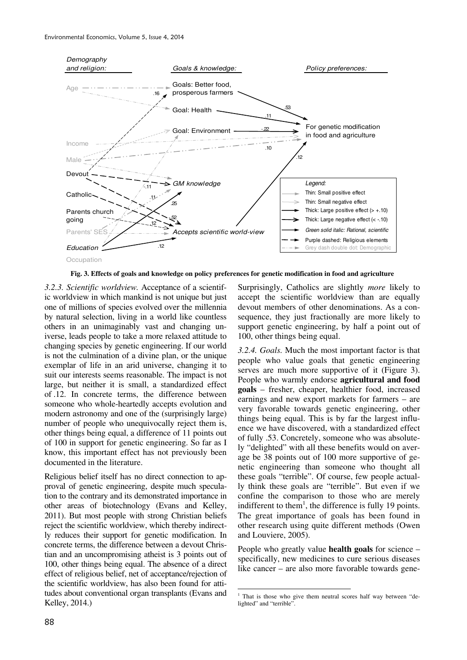

**Fig. 3. Effects of goals and knowledge on policy preferences for genetic modification in food and agriculture**

*3.2.3. Scientific worldview.* Acceptance of a scientific worldview in which mankind is not unique but just one of millions of species evolved over the millennia by natural selection, living in a world like countless others in an unimaginably vast and changing universe, leads people to take a more relaxed attitude to changing species by genetic engineering. If our world is not the culmination of a divine plan, or the unique exemplar of life in an arid universe, changing it to suit our interests seems reasonable. The impact is not large, but neither it is small, a standardized effect of .12. In concrete terms, the difference between someone who whole-heartedly accepts evolution and modern astronomy and one of the (surprisingly large) number of people who unequivocally reject them is, other things being equal, a difference of 11 points out of 100 in support for genetic engineering. So far as I know, this important effect has not previously been documented in the literature.

Religious belief itself has no direct connection to approval of genetic engineering, despite much speculation to the contrary and its demonstrated importance in other areas of biotechnology (Evans and Kelley, 2011). But most people with strong Christian beliefs reject the scientific worldview, which thereby indirectly reduces their support for genetic modification. In concrete terms, the difference between a devout Christian and an uncompromising atheist is 3 points out of 100, other things being equal. The absence of a direct effect of religious belief, net of acceptance/rejection of the scientific worldview, has also been found for attitudes about conventional organ transplants (Evans and Kelley, 2014.)

Surprisingly, Catholics are slightly *more* likely to accept the scientific worldview than are equally devout members of other denominations. As a consequence, they just fractionally are more likely to support genetic engineering, by half a point out of 100, other things being equal.

*3.2.4. Goals.* Much the most important factor is that people who value goals that genetic engineering serves are much more supportive of it (Figure 3). People who warmly endorse **agricultural and food goals** – fresher, cheaper, healthier food, increased earnings and new export markets for farmers – are very favorable towards genetic engineering, other things being equal. This is by far the largest influence we have discovered, with a standardized effect of fully .53. Concretely, someone who was absolutely "delighted" with all these benefits would on average be 38 points out of 100 more supportive of genetic engineering than someone who thought all these goals "terrible". Of course, few people actually think these goals are "terrible". But even if we confine the comparison to those who are merely indifferent to them<sup>1</sup>, the difference is fully 19 points. The great importance of goals has been found in other research using quite different methods (Owen and Louviere, 2005).

People who greatly value **health goals** for science – specifically, new medicines to cure serious diseases like cancer – are also more favorable towards gene-

 1 That is those who give them neutral scores half way between "delighted" and "terrible".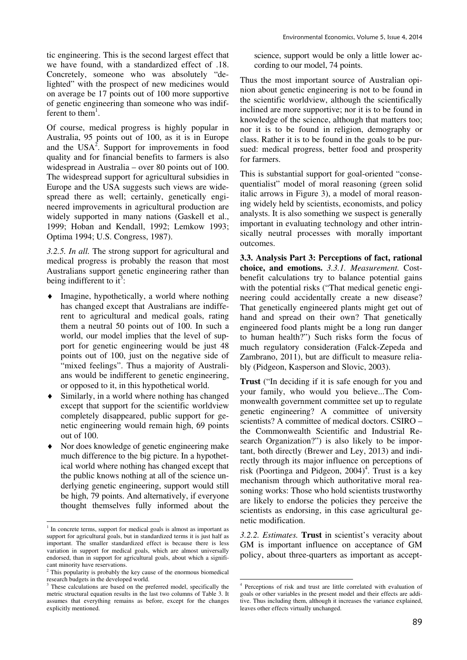tic engineering. This is the second largest effect that we have found, with a standardized effect of .18. Concretely, someone who was absolutely "delighted" with the prospect of new medicines would on average be 17 points out of 100 more supportive of genetic engineering than someone who was indifferent to them<sup>1</sup>.

Of course, medical progress is highly popular in Australia, 95 points out of 100, as it is in Europe and the USA<sup>2</sup>. Support for improvements in food quality and for financial benefits to farmers is also widespread in Australia – over 80 points out of 100. The widespread support for agricultural subsidies in Europe and the USA suggests such views are widespread there as well; certainly, genetically engineered improvements in agricultural production are widely supported in many nations (Gaskell et al., 1999; Hoban and Kendall, 1992; Lemkow 1993; Optima 1994; U.S. Congress, 1987).

*3.2.5. In all.* The strong support for agricultural and medical progress is probably the reason that most Australians support genetic engineering rather than being indifferent to it<sup>3</sup>:

- Imagine, hypothetically, a world where nothing has changed except that Australians are indifferent to agricultural and medical goals, rating them a neutral 50 points out of 100. In such a world, our model implies that the level of support for genetic engineering would be just 48 points out of 100, just on the negative side of "mixed feelings". Thus a majority of Australians would be indifferent to genetic engineering, or opposed to it, in this hypothetical world.
- Similarly, in a world where nothing has changed except that support for the scientific worldview completely disappeared, public support for genetic engineering would remain high, 69 points out of 100.
- Nor does knowledge of genetic engineering make much difference to the big picture. In a hypothetical world where nothing has changed except that the public knows nothing at all of the science underlying genetic engineering, support would still be high, 79 points. And alternatively, if everyone thought themselves fully informed about the

<u>.</u>

science, support would be only a little lower according to our model, 74 points.

Thus the most important source of Australian opinion about genetic engineering is not to be found in the scientific worldview, although the scientifically inclined are more supportive; nor it is to be found in knowledge of the science, although that matters too; nor it is to be found in religion, demography or class. Rather it is to be found in the goals to be pursued: medical progress, better food and prosperity for farmers.

This is substantial support for goal-oriented "consequentialist" model of moral reasoning (green solid italic arrows in Figure 3), a model of moral reasoning widely held by scientists, economists, and policy analysts. It is also something we suspect is generally important in evaluating technology and other intrinsically neutral processes with morally important outcomes.

**3.3. Analysis Part 3: Perceptions of fact, rational choice, and emotions.** *3.3.1. Measurement.* Costbenefit calculations try to balance potential gains with the potential risks ("That medical genetic engineering could accidentally create a new disease? That genetically engineered plants might get out of hand and spread on their own? That genetically engineered food plants might be a long run danger to human health?") Such risks form the focus of much regulatory consideration (Falck-Zepeda and Zambrano, 2011), but are difficult to measure reliably (Pidgeon, Kasperson and Slovic, 2003).

**Trust** ("In deciding if it is safe enough for you and your family, who would you believe...The Commonwealth government committee set up to regulate genetic engineering? A committee of university scientists? A committee of medical doctors. CSIRO – the Commonwealth Scientific and Industrial Research Organization?") is also likely to be important, both directly (Brewer and Ley, 2013) and indirectly through its major influence on perceptions of risk (Poortinga and Pidgeon, 2004)<sup>4</sup>. Trust is a key mechanism through which authoritative moral reasoning works: Those who hold scientists trustworthy are likely to endorse the policies they perceive the scientists as endorsing, in this case agricultural genetic modification.

*3.2.2. Estimates.* **Trust** in scientist's veracity about GM is important influence on acceptance of GM policy, about three-quarters as important as accept-

<sup>&</sup>lt;sup>1</sup> In concrete terms, support for medical goals is almost as important as support for agricultural goals, but in standardized terms it is just half as important. The smaller standardized effect is because there is less variation in support for medical goals, which are almost universally endorsed, than in support for agricultural goals, about which a significant minority have reservations.

<sup>&</sup>lt;sup>2</sup> This popularity is probably the key cause of the enormous biomedical research budgets in the developed world.<br><sup>3</sup> These gelaulations are based on the pr

These calculations are based on the preferred model, specifically the metric structural equation results in the last two columns of Table 3. It assumes that everything remains as before, except for the changes explicitly mentioned.

 4 Perceptions of risk and trust are little correlated with evaluation of goals or other variables in the present model and their effects are additive. Thus including them, although it increases the variance explained, leaves other effects virtually unchanged.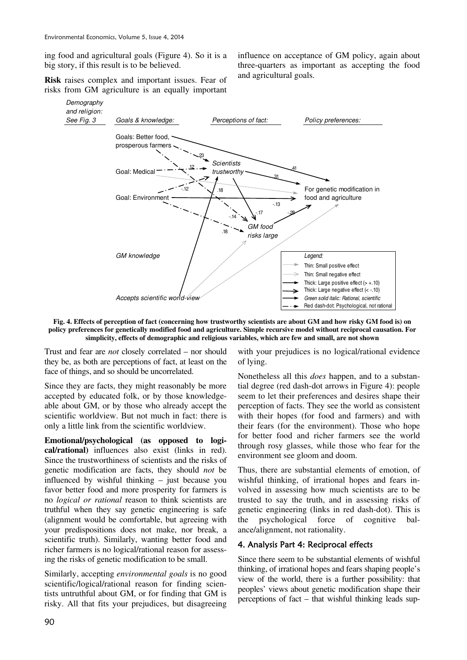ing food and agricultural goals (Figure 4). So it is a big story, if this result is to be believed.

**Risk** raises complex and important issues. Fear of risks from GM agriculture is an equally important

influence on acceptance of GM policy, again about three-quarters as important as accepting the food and agricultural goals.



**Fig. 4. Effects of perception of fact (concerning how trustworthy scientists are about GM and how risky GM food is) on policy preferences for genetically modified food and agriculture. Simple recursive model without reciprocal causation. For simplicity, effects of demographic and religious variables, which are few and small, are not shown** 

Trust and fear are *not* closely correlated – nor should they be, as both are perceptions of fact, at least on the face of things, and so should be uncorrelated.

Since they are facts, they might reasonably be more accepted by educated folk, or by those knowledgeable about GM, or by those who already accept the scientific worldview. But not much in fact: there is only a little link from the scientific worldview.

**Emotional/psychological (as opposed to logical/rational)** influences also exist (links in red). Since the trustworthiness of scientists and the risks of genetic modification are facts, they should *not* be influenced by wishful thinking – just because you favor better food and more prosperity for farmers is no *logical or rational* reason to think scientists are truthful when they say genetic engineering is safe (alignment would be comfortable, but agreeing with your predispositions does not make, nor break, a scientific truth). Similarly, wanting better food and richer farmers is no logical/rational reason for assessing the risks of genetic modification to be small.

Similarly, accepting *environmental goals* is no good scientific/logical/rational reason for finding scientists untruthful about GM, or for finding that GM is risky. All that fits your prejudices, but disagreeing

with your prejudices is no logical/rational evidence of lying.

Nonetheless all this *does* happen, and to a substantial degree (red dash-dot arrows in Figure 4): people seem to let their preferences and desires shape their perception of facts. They see the world as consistent with their hopes (for food and farmers) and with their fears (for the environment). Those who hope for better food and richer farmers see the world through rosy glasses, while those who fear for the environment see gloom and doom.

Thus, there are substantial elements of emotion, of wishful thinking, of irrational hopes and fears involved in assessing how much scientists are to be trusted to say the truth, and in assessing risks of genetic engineering (links in red dash-dot). This is the psychological force of cognitive balance/alignment, not rationality.

# 4. Analysis Part 4: Reciprocal effects

Since there seem to be substantial elements of wishful thinking, of irrational hopes and fears shaping people's view of the world, there is a further possibility: that peoples' views about genetic modification shape their perceptions of fact – that wishful thinking leads sup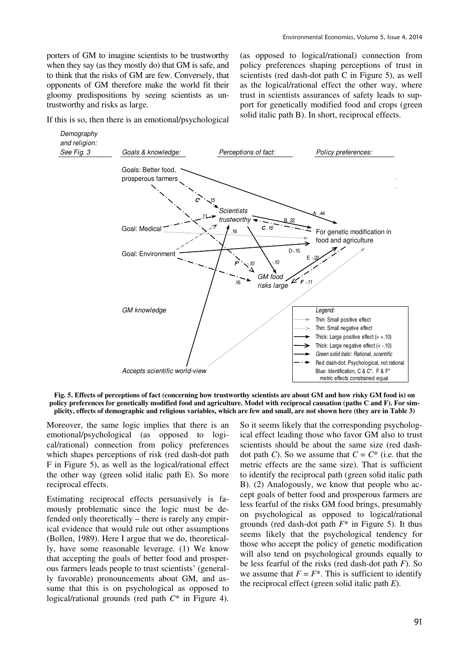porters of GM to imagine scientists to be trustworthy when they say (as they mostly do) that GM is safe, and to think that the risks of GM are few. Conversely, that opponents of GM therefore make the world fit their gloomy predispositions by seeing scientists as untrustworthy and risks as large.

If this is so, then there is an emotional/psychological

(as opposed to logical/rational) connection from policy preferences shaping perceptions of trust in scientists (red dash-dot path C in Figure 5), as well as the logical/rational effect the other way, where trust in scientists assurances of safety leads to support for genetically modified food and crops (green solid italic path B). In short, reciprocal effects.



**Fig. 5. Effects of perceptions of fact (concerning how trustworthy scientists are about GM and how risky GM food is) on policy preferences for genetically modified food and agriculture. Model with reciprocal causation (paths C and F). For simplicity, effects of demographic and religious variables, which are few and small, are not shown here (they are in Table 3)**

Moreover, the same logic implies that there is an emotional/psychological (as opposed to logical/rational) connection from policy preferences which shapes perceptions of risk (red dash-dot path F in Figure 5), as well as the logical/rational effect the other way (green solid italic path E). So more reciprocal effects.

Estimating reciprocal effects persuasively is famously problematic since the logic must be defended only theoretically – there is rarely any empirical evidence that would rule out other assumptions (Bollen, 1989). Here I argue that we do, theoretically, have some reasonable leverage. (1) We know that accepting the goals of better food and prosperous farmers leads people to trust scientists' (generally favorable) pronouncements about GM, and assume that this is on psychological as opposed to logical/rational grounds (red path *C*\* in Figure 4).

So it seems likely that the corresponding psychological effect leading those who favor GM also to trust scientists should be about the same size (red dashdot path *C*). So we assume that  $C = C^*$  (i.e. that the metric effects are the same size). That is sufficient to identify the reciprocal path (green solid italic path B). (2) Analogously, we know that people who accept goals of better food and prosperous farmers are less fearful of the risks GM food brings, presumably on psychological as opposed to logical/rational grounds (red dash-dot path *F*\* in Figure 5). It thus seems likely that the psychological tendency for those who accept the policy of genetic modification will also tend on psychological grounds equally to be less fearful of the risks (red dash-dot path *F*). So we assume that  $F = F^*$ . This is sufficient to identify the reciprocal effect (green solid italic path *E*).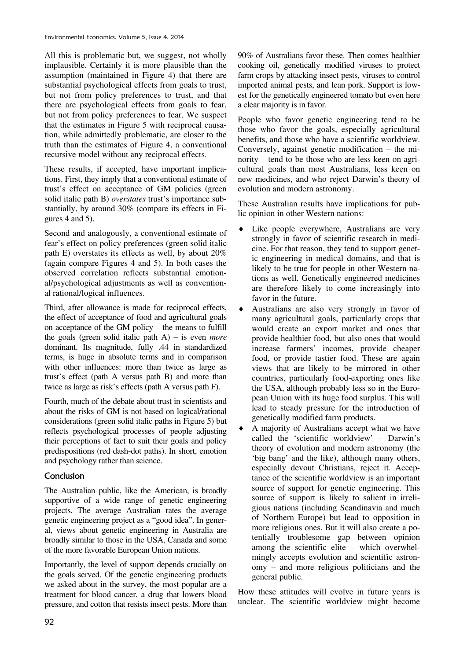All this is problematic but, we suggest, not wholly implausible. Certainly it is more plausible than the assumption (maintained in Figure 4) that there are substantial psychological effects from goals to trust, but not from policy preferences to trust, and that there are psychological effects from goals to fear, but not from policy preferences to fear. We suspect that the estimates in Figure 5 with reciprocal causation, while admittedly problematic, are closer to the truth than the estimates of Figure 4, a conventional recursive model without any reciprocal effects.

These results, if accepted, have important implications. First, they imply that a conventional estimate of trust's effect on acceptance of GM policies (green solid italic path B) *overstates* trust's importance substantially, by around 30% (compare its effects in Figures 4 and 5).

Second and analogously, a conventional estimate of fear's effect on policy preferences (green solid italic path E) overstates its effects as well, by about 20% (again compare Figures 4 and 5). In both cases the observed correlation reflects substantial emotional/psychological adjustments as well as conventional rational/logical influences.

Third, after allowance is made for reciprocal effects, the effect of acceptance of food and agricultural goals on acceptance of the GM policy – the means to fulfill the goals (green solid italic path A) – is even *more* dominant. Its magnitude, fully .44 in standardized terms, is huge in absolute terms and in comparison with other influences: more than twice as large as trust's effect (path A versus path B) and more than twice as large as risk's effects (path A versus path F).

Fourth, much of the debate about trust in scientists and about the risks of GM is not based on logical/rational considerations (green solid italic paths in Figure 5) but reflects psychological processes of people adjusting their perceptions of fact to suit their goals and policy predispositions (red dash-dot paths). In short, emotion and psychology rather than science.

# Conclusion

The Australian public, like the American, is broadly supportive of a wide range of genetic engineering projects. The average Australian rates the average genetic engineering project as a "good idea". In general, views about genetic engineering in Australia are broadly similar to those in the USA, Canada and some of the more favorable European Union nations.

Importantly, the level of support depends crucially on the goals served. Of the genetic engineering products we asked about in the survey, the most popular are a treatment for blood cancer, a drug that lowers blood pressure, and cotton that resists insect pests. More than 90% of Australians favor these. Then comes healthier cooking oil, genetically modified viruses to protect farm crops by attacking insect pests, viruses to control imported animal pests, and lean pork. Support is lowest for the genetically engineered tomato but even here a clear majority is in favor.

People who favor genetic engineering tend to be those who favor the goals, especially agricultural benefits, and those who have a scientific worldview. Conversely, against genetic modification – the minority – tend to be those who are less keen on agricultural goals than most Australians, less keen on new medicines, and who reject Darwin's theory of evolution and modern astronomy.

These Australian results have implications for public opinion in other Western nations:

- Like people everywhere, Australians are very strongly in favor of scientific research in medicine. For that reason, they tend to support genetic engineering in medical domains, and that is likely to be true for people in other Western nations as well. Genetically engineered medicines are therefore likely to come increasingly into favor in the future.
- ♦ Australians are also very strongly in favor of many agricultural goals, particularly crops that would create an export market and ones that provide healthier food, but also ones that would increase farmers' incomes, provide cheaper food, or provide tastier food. These are again views that are likely to be mirrored in other countries, particularly food-exporting ones like the USA, although probably less so in the European Union with its huge food surplus. This will lead to steady pressure for the introduction of genetically modified farm products.
- A majority of Australians accept what we have called the 'scientific worldview' – Darwin's theory of evolution and modern astronomy (the 'big bang' and the like), although many others, especially devout Christians, reject it. Acceptance of the scientific worldview is an important source of support for genetic engineering. This source of support is likely to salient in irreligious nations (including Scandinavia and much of Northern Europe) but lead to opposition in more religious ones. But it will also create a potentially troublesome gap between opinion among the scientific elite – which overwhelmingly accepts evolution and scientific astronomy – and more religious politicians and the general public.

How these attitudes will evolve in future years is unclear. The scientific worldview might become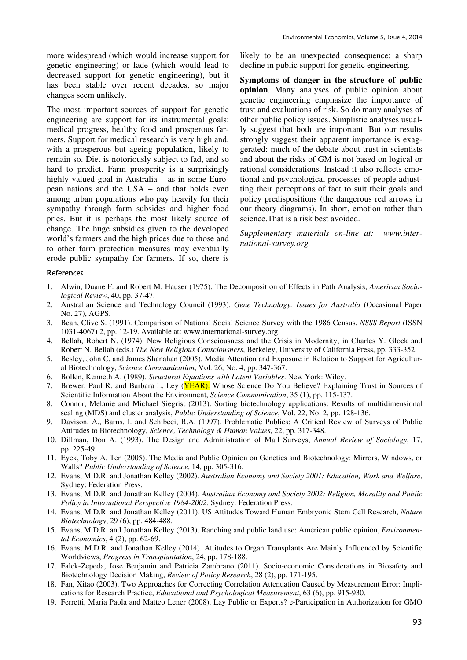more widespread (which would increase support for genetic engineering) or fade (which would lead to decreased support for genetic engineering), but it has been stable over recent decades, so major changes seem unlikely.

The most important sources of support for genetic engineering are support for its instrumental goals: medical progress, healthy food and prosperous farmers. Support for medical research is very high and, with a prosperous but ageing population, likely to remain so. Diet is notoriously subject to fad, and so hard to predict. Farm prosperity is a surprisingly highly valued goal in Australia – as in some European nations and the USA – and that holds even among urban populations who pay heavily for their sympathy through farm subsides and higher food pries. But it is perhaps the most likely source of change. The huge subsidies given to the developed world's farmers and the high prices due to those and to other farm protection measures may eventually erode public sympathy for farmers. If so, there is likely to be an unexpected consequence: a sharp decline in public support for genetic engineering.

**Symptoms of danger in the structure of public opinion**. Many analyses of public opinion about genetic engineering emphasize the importance of trust and evaluations of risk. So do many analyses of other public policy issues. Simplistic analyses usually suggest that both are important. But our results strongly suggest their apparent importance is exaggerated: much of the debate about trust in scientists and about the risks of GM is not based on logical or rational considerations. Instead it also reflects emotional and psychological processes of people adjustting their perceptions of fact to suit their goals and policy predispositions (the dangerous red arrows in our theory diagrams). In short, emotion rather than science.That is a risk best avoided.

*Supplementary materials on-line at: www.international-survey.org.* 

#### References

- 1. Alwin, Duane F. and Robert M. Hauser (1975). The Decomposition of Effects in Path Analysis, *American Sociological Review*, 40, pp. 37-47.
- 2. Australian Science and Technology Council (1993). *Gene Technology: Issues for Australia* (Occasional Paper No. 27), AGPS.
- 3. Bean, Clive S. (1991). Comparison of National Social Science Survey with the 1986 Census, *NSSS Report* (ISSN 1031-4067) 2, pp. 12-19. Available at: www.international-survey.org.
- 4. Bellah, Robert N. (1974). New Religious Consciousness and the Crisis in Modernity, in Charles Y. Glock and Robert N. Bellah (eds.) *The New Religious Consciousness*, Berkeley, University of California Press, pp. 333-352.
- 5. Besley, John C. and James Shanahan (2005). Media Attention and Exposure in Relation to Support for Agricultural Biotechnology, *Science Communication*, Vol. 26, No. 4, pp. 347-367.
- 6. Bollen, Kenneth A. (1989). *Structural Equations with Latent Variables*. New York: Wiley.
- 7. Brewer, Paul R. and Barbara L. Ley (YEAR). Whose Science Do You Believe? Explaining Trust in Sources of Scientific Information About the Environment, *Science Communication*, 35 (1), pp. 115-137.
- 8. Connor, Melanie and Michael Siegrist (2013). Sorting biotechnology applications: Results of multidimensional scaling (MDS) and cluster analysis, *Public Understanding of Science*, Vol. 22, No. 2, pp. 128-136.
- 9. Davison, A., Barns, I. and Schibeci, R.A. (1997). Problematic Publics: A Critical Review of Surveys of Public Attitudes to Biotechnology, *Science, Technology & Human Values*, 22, pp. 317-348.
- 10. Dillman, Don A. (1993). The Design and Administration of Mail Surveys, *Annual Review of Sociology*, 17, pp. 225-49.
- 11. Eyck, Toby A. Ten (2005). The Media and Public Opinion on Genetics and Biotechnology: Mirrors, Windows, or Walls? *Public Understanding of Science*, 14, pp. 305-316.
- 12. Evans, M.D.R. and Jonathan Kelley (2002). *Australian Economy and Society 2001: Education, Work and Welfare*, Sydney: Federation Press.
- 13. Evans, M.D.R. and Jonathan Kelley (2004). *Australian Economy and Society 2002: Religion, Morality and Public Policy in International Perspective 1984-2002*. Sydney: Federation Press.
- 14. Evans, M.D.R. and Jonathan Kelley (2011). US Attitudes Toward Human Embryonic Stem Cell Research, *Nature Biotechnology*, 29 (6), pp. 484-488.
- 15. Evans, M.D.R. and Jonathan Kelley (2013). Ranching and public land use: American public opinion, *Environmental Economics*, 4 (2), pp. 62-69.
- 16. Evans, M.D.R. and Jonathan Kelley (2014). Attitudes to Organ Transplants Are Mainly Influenced by Scientific Worldviews, *Progress in Transplantation*, 24, pp. 178-188.
- 17. Falck-Zepeda, Jose Benjamin and Patricia Zambrano (2011). Socio-economic Considerations in Biosafety and Biotechnology Decision Making, *Review of Policy Research*, 28 (2), pp. 171-195.
- 18. Fan, Xitao (2003). Two Approaches for Correcting Correlation Attenuation Caused by Measurement Error: Implications for Research Practice, *Educational and Psychological Measurement*, 63 (6), pp. 915-930.
- 19. Ferretti, Maria Paola and Matteo Lener (2008). Lay Public or Experts? e-Participation in Authorization for GMO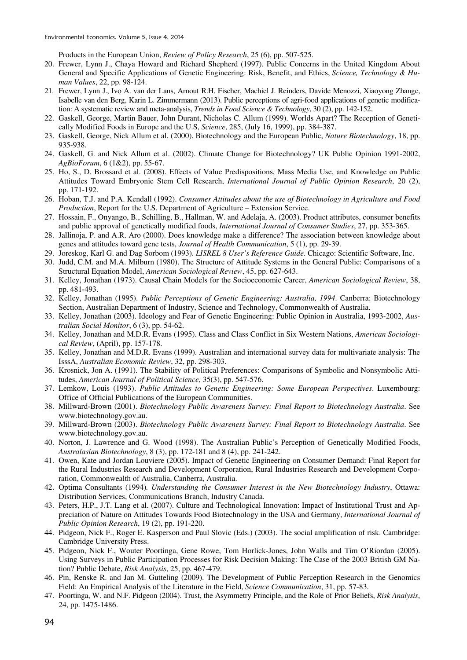Products in the European Union, *Review of Policy Research*, 25 (6), pp. 507-525.

- 20. Frewer, Lynn J., Chaya Howard and Richard Shepherd (1997). Public Concerns in the United Kingdom About General and Specific Applications of Genetic Engineering: Risk, Benefit, and Ethics, *Science, Technology & Human Values*, 22, pp. 98-124.
- 21. Frewer, Lynn J., Ivo A. van der Lans, Arnout R.H. Fischer, Machiel J. Reinders, Davide Menozzi, Xiaoyong Zhangc, Isabelle van den Berg, Karin L. Zimmermann (2013). Public perceptions of agri-food applications of genetic modification: A systematic review and meta-analysis, *Trends in Food Science & Technology*, 30 (2), pp. 142-152.
- 22. Gaskell, George, Martin Bauer, John Durant, Nicholas C. Allum (1999). Worlds Apart? The Reception of Genetically Modified Foods in Europe and the U.S, *Science*, 285, (July 16, 1999), pp. 384-387.
- 23. Gaskell, George, Nick Allum et al. (2000). Biotechnology and the European Public, *Nature Biotechnology*, 18, pp. 935-938.
- 24. Gaskell, G. and Nick Allum et al. (2002). Climate Change for Biotechnology? UK Public Opinion 1991-2002, *AgBioForum*, 6 (1&2), pp. 55-67.
- 25. Ho, S., D. Brossard et al. (2008). Effects of Value Predispositions, Mass Media Use, and Knowledge on Public Attitudes Toward Embryonic Stem Cell Research, *International Journal of Public Opinion Research*, 20 (2), pp. 171-192.
- 26. Hoban, T.J. and P.A. Kendall (1992). *Consumer Attitudes about the use of Biotechnology in Agriculture and Food Production*, Report for the U.S. Department of Agriculture – Extension Service.
- 27. Hossain, F., Onyango, B., Schilling, B., Hallman, W. and Adelaja, A. (2003). Product attributes, consumer benefits and public approval of genetically modified foods, *International Journal of Consumer Studies*, 27, pp. 353-365.
- 28. Jallinoja, P. and A.R. Aro (2000). Does knowledge make a difference? The association between knowledge about genes and attitudes toward gene tests, *Journal of Health Communication*, 5 (1), pp. 29-39.
- 29. Joreskog, Karl G. and Dag Sorbom (1993). *LISREL 8 User's Reference Guide*. Chicago: Scientific Software, Inc.
- 30. Judd, C.M. and M.A. Milburn (1980). The Structure of Attitude Systems in the General Public: Comparisons of a Structural Equation Model, *American Sociological Review*, 45, pp. 627-643.
- 31. Kelley, Jonathan (1973). Causal Chain Models for the Socioeconomic Career, *American Sociological Review*, 38, pp. 481-493.
- 32. Kelley, Jonathan (1995). *Public Perceptions of Genetic Engineering: Australia, 1994*. Canberra: Biotechnology Section, Australian Department of Industry, Science and Technology, Commonwealth of Australia.
- 33. Kelley, Jonathan (2003). Ideology and Fear of Genetic Engineering: Public Opinion in Australia, 1993-2002, *Australian Social Monitor*, 6 (3), pp. 54-62.
- 34. Kelley, Jonathan and M.D.R. Evans (1995). Class and Class Conflict in Six Western Nations, *American Sociological Review*, (April), pp. 157-178.
- 35. Kelley, Jonathan and M.D.R. Evans (1999). Australian and international survey data for multivariate analysis: The IsssA, *Australian Economic Review*, 32, pp. 298-303.
- 36. Krosnick, Jon A. (1991). The Stability of Political Preferences: Comparisons of Symbolic and Nonsymbolic Attitudes, *American Journal of Political Science*, 35(3), pp. 547-576.
- 37. Lemkow, Louis (1993). *Public Attitudes to Genetic Engineering: Some European Perspectives*. Luxembourg: Office of Official Publications of the European Communities.
- 38. Millward-Brown (2001). *Biotechnology Public Awareness Survey: Final Report to Biotechnology Australia*. See www.biotechnology.gov.au.
- 39. Millward-Brown (2003). *Biotechnology Public Awareness Survey: Final Report to Biotechnology Australia*. See www.biotechnology.gov.au.
- 40. Norton, J. Lawrence and G. Wood (1998). The Australian Public's Perception of Genetically Modified Foods, *Australasian Biotechnology*, 8 (3), pp. 172-181 and 8 (4), pp. 241-242.
- 41. Owen, Kate and Jordan Louviere (2005). Impact of Genetic Engineering on Consumer Demand: Final Report for the Rural Industries Research and Development Corporation, Rural Industries Research and Development Corporation, Commonwealth of Australia, Canberra, Australia.
- 42. Optima Consultants (1994)*. Understanding the Consumer Interest in the New Biotechnology Industry*, Ottawa: Distribution Services, Communications Branch, Industry Canada.
- 43. Peters, H.P., J.T. Lang et al. (2007). Culture and Technological Innovation: Impact of Institutional Trust and Appreciation of Nature on Attitudes Towards Food Biotechnology in the USA and Germany, *International Journal of Public Opinion Research*, 19 (2), pp. 191-220.
- 44. Pidgeon, Nick F., Roger E. Kasperson and Paul Slovic (Eds.) (2003). The social amplification of risk. Cambridge: Cambridge University Press.
- 45. Pidgeon, Nick F., Wouter Poortinga, Gene Rowe, Tom Horlick-Jones, John Walls and Tim O'Riordan (2005). Using Surveys in Public Participation Processes for Risk Decision Making: The Case of the 2003 British GM Nation? Public Debate, *Risk Analysis*, 25, pp. 467-479.
- 46. Pin, Renske R. and Jan M. Gutteling (2009). The Development of Public Perception Research in the Genomics Field: An Empirical Analysis of the Literature in the Field, *Science Communication*, 31, pp. 57-83.
- 47. Poortinga, W. and N.F. Pidgeon (2004). Trust, the Asymmetry Principle, and the Role of Prior Beliefs, *Risk Analysis*, 24, pp. 1475-1486.